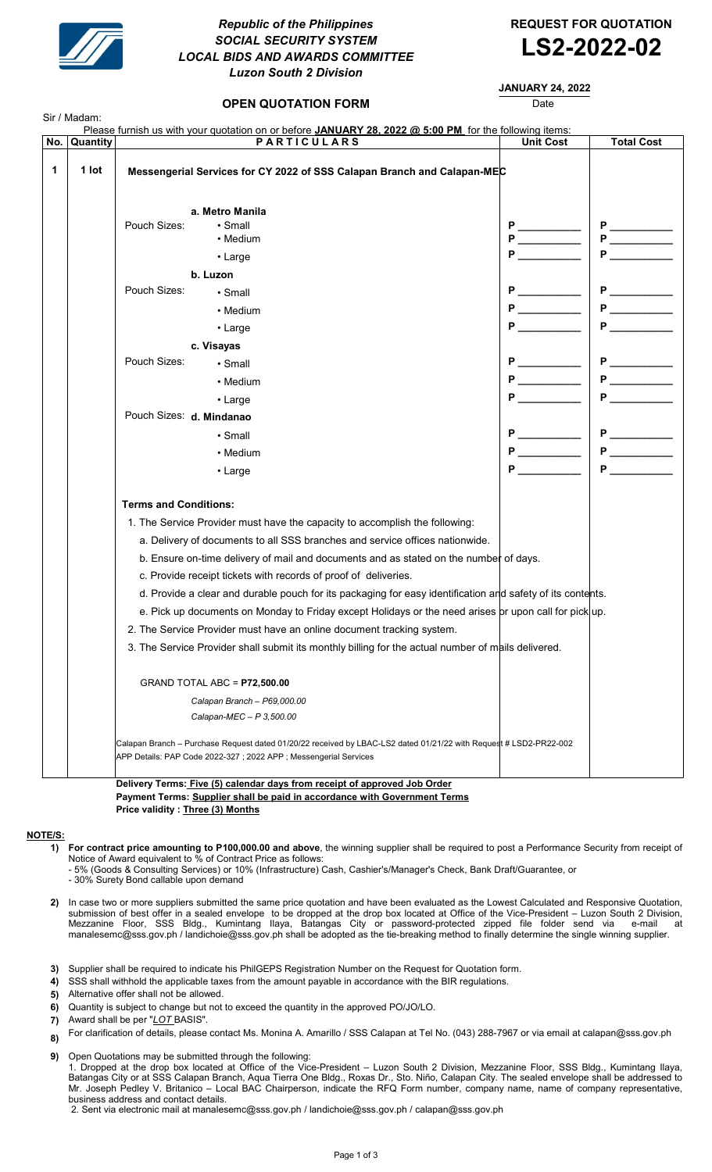

# Republic of the Philippines REQUEST FOR QUOTATION SOCIAL SECURITY SYSTEM SOCIAL SECURITY SYSTEM<br>LOCAL BIDS AND AWARDS COMMITTEE **LS2-2022-02** Luzon South 2 Division



## JANUARY 24, 2022

**OPEN QUOTATION FORM DATE:** Date

Sir / Madam: No. Quantity **PARTICULARS** Unit Cost Total Cost 1 | 1 lot | Messengerial Services for CY 2022 of SSS Calapan Branch and Calapan-MEC a. Metro Manila Pouch Sizes: • Small P \_\_\_\_\_\_\_\_\_\_\_ P \_\_\_\_\_\_\_\_\_\_\_ • Medium  $\begin{array}{|c|c|c|c|c|c|}\hline \textbf{P} & \textbf{P} & \textbf{P} & \textbf{P} & \textbf{P} & \textbf{P} & \textbf{P} & \textbf{P} & \textbf{P} & \textbf{P} & \textbf{P} & \textbf{P} & \textbf{P} & \textbf{P} & \textbf{P} & \textbf{P} & \textbf{P} & \textbf{P} & \textbf{P} & \textbf{P} & \textbf{P} & \textbf{P} & \textbf{P} & \textbf{P} & \textbf{P} & \textbf{P} & \textbf{P} & \$ • Large  $\begin{array}{|c|c|c|c|c|}\hline \textbf{P} & \textbf{P} & \textbf{P} & \textbf{P} & \textbf{P} & \textbf{P} \end{array}$ b. Luzon Pouch Sizes: • Small P \_\_\_\_\_\_\_\_\_\_\_ P \_\_\_\_\_\_\_\_\_\_\_ • Medium  $\begin{array}{|c|c|c|c|c|}\hline \textbf{P} & \textbf{P} & \textbf{P} & \textbf{P} & \textbf{P} & \textbf{P} & \textbf{P} & \textbf{P} & \textbf{P} & \textbf{P} & \textbf{P} & \textbf{P} & \textbf{P} & \textbf{P} & \textbf{P} & \textbf{P} & \textbf{P} & \textbf{P} & \textbf{P} & \textbf{P} & \textbf{P} & \textbf{P} & \textbf{P} & \textbf{P} & \textbf{P} & \textbf{P} & \textbf{P} & \textbf$ • Large  $\begin{array}{|c|c|c|c|c|c|}\hline \textbf{P} & \textbf{P} & \textbf{P} & \textbf{P} & \textbf{P} & \textbf{P} & \textbf{P} \end{array}$ c. Visayas Pouch Sizes: • Small P \_\_\_\_\_\_\_\_\_\_\_ P \_\_\_\_\_\_\_\_\_\_\_ • Medium  $\begin{array}{|c|c|c|c|c|c|}\hline \textbf{P} & \textbf{P} & \textbf{P} & \textbf{P} & \textbf{P} & \textbf{P} \end{array}$ • Large  $\begin{array}{|c|c|c|c|c|}\hline \textbf{P} & \textbf{P} & \textbf{P} & \textbf{P} & \textbf{P} & \textbf{P} \end{array}$  Pouch Sizes: d. Mindanao • Small P \_\_\_\_\_\_\_\_\_\_\_ P \_\_\_\_\_\_\_\_\_\_\_ • Medium  $\begin{array}{|c|c|c|c|c|c|}\hline \textbf{P} & \textbf{P} & \textbf{P} & \textbf{P} & \textbf{P} & \textbf{P} \end{array}$ • Large  $\begin{array}{|c|c|c|c|c|}\hline \textbf{P} & \textbf{P} & \textbf{P} & \textbf{P} & \textbf{P} & \textbf{P} \end{array}$  Terms and Conditions: a. Delivery of documents to all SSS branches and service offices nationwide. b. Ensure on-time delivery of mail and documents and as stated on the number of days. c. Provide receipt tickets with records of proof of deliveries. d. Provide a clear and durable pouch for its packaging for easy identification and safety of its contents. e. Pick up documents on Monday to Friday except Holidays or the need arises or upon call for pick up. 2. The Service Provider must have an online document tracking system. 3. The Service Provider shall submit its monthly billing for the actual number of mails delivered. Calapan Branch – P69,000.00 Calapan-MEC – P 3,500.00 Calapan Branch – Purchase Request dated 01/20/22 received by LBAC-LS2 dated 01/21/22 with Request # LSD2-PR22-002 APP Details: PAP Code 2022-327 ; 2022 APP ; Messengerial Services Please furnish us with your quotation on or before JANUARY 28, 2022 @ 5:00 PM for the following items: 1. The Service Provider must have the capacity to accomplish the following: GRAND TOTAL ABC = P72,500.00

Delivery Terms: Five (5) calendar days from receipt of approved Job Order Payment Terms: Supplier shall be paid in accordance with Government Terms Price validity : Three (3) Months

### NOTE/S:

- 1) For contract price amounting to P100,000.00 and above, the winning supplier shall be required to post a Performance Security from receipt of Notice of Award equivalent to % of Contract Price as follows
	- 5% (Goods & Consulting Services) or 10% (Infrastructure) Cash, Cashier's/Manager's Check, Bank Draft/Guarantee, or - 30% Surety Bond callable upon demand
- 2) In case two or more suppliers submitted the same price quotation and have been evaluated as the Lowest Calculated and Responsive Quotation, submission of best offer in a sealed envelope to be dropped at the drop box located at Office of the Vice-President – Luzon South 2 Division, Mezzanine Floor, SSS Bldg., Kumintang Ilaya, Batangas City or password-protected zipped file folder send via e-mail at manalesemc@sss.gov.ph / landichoie@sss.gov.ph shall be adopted as the tie-breaking method to finally determine the single winning supplier.
- 3) Supplier shall be required to indicate his PhilGEPS Registration Number on the Request for Quotation form.
- 4) SSS shall withhold the applicable taxes from the amount payable in accordance with the BIR regulations.
- 5) Alternative offer shall not be allowed.
- 6) Quantity is subject to change but not to exceed the quantity in the approved PO/JO/LO.
- 7) Award shall be per "LOT BASIS".
- 8) For clarification of details, please contact Ms. Monina A. Amarillo / SSS Calapan at Tel No. (043) 288-7967 or via email at calapan@sss.gov.ph

9) Open Quotations may be submitted through the following: 1. Dropped at the drop box located at Office of the Vice-President – Luzon South 2 Division, Mezzanine Floor, SSS Bldg., Kumintang Ilaya, Batangas City or at SSS Calapan Branch, Aqua Tierra One Bldg., Roxas Dr., Sto. Niño, Calapan City. The sealed envelope shall be addressed to Mr. Joseph Pedley V. Britanico – Local BAC Chairperson, indicate the RFQ Form number, company name, name of company representative, business address and contact details.

2. Sent via electronic mail at manalesemc@sss.gov.ph / landichoie@sss.gov.ph / calapan@sss.gov.ph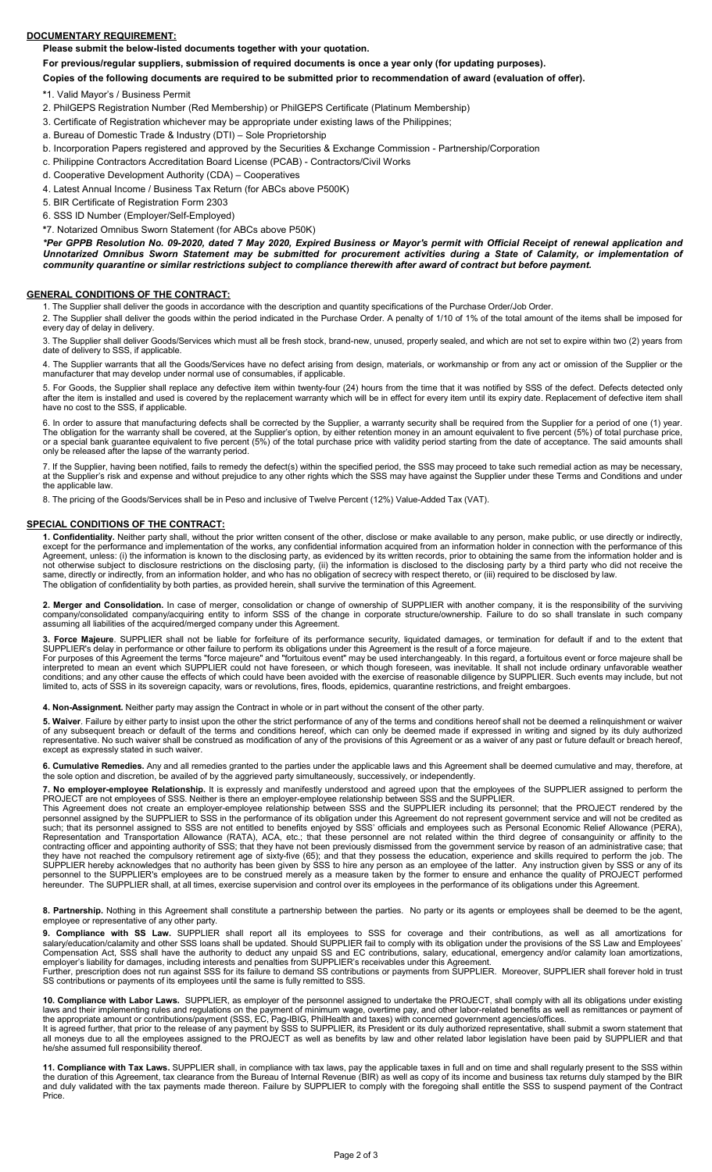### DOCUMENTARY REQUIREMENT:

Please submit the below-listed documents together with your quotation.

For previous/regular suppliers, submission of required documents is once a year only (for updating purposes).

Copies of the following documents are required to be submitted prior to recommendation of award (evaluation of offer).

\*1. Valid Mayor's / Business Permit

- 2. PhilGEPS Registration Number (Red Membership) or PhilGEPS Certificate (Platinum Membership)
- 3. Certificate of Registration whichever may be appropriate under existing laws of the Philippines;
- a. Bureau of Domestic Trade & Industry (DTI) Sole Proprietorship
- b. Incorporation Papers registered and approved by the Securities & Exchange Commission Partnership/Corporation
- c. Philippine Contractors Accreditation Board License (PCAB) Contractors/Civil Works
- d. Cooperative Development Authority (CDA) Cooperatives
- 4. Latest Annual Income / Business Tax Return (for ABCs above P500K)
- 5. BIR Certificate of Registration Form 2303
- 6. SSS ID Number (Employer/Self-Employed)
- \*7. Notarized Omnibus Sworn Statement (for ABCs above P50K)

\*Per GPPB Resolution No. 09-2020, dated 7 May 2020, Expired Business or Mayor's permit with Official Receipt of renewal application and Unnotarized Omnibus Sworn Statement may be submitted for procurement activities during a State of Calamity, or implementation of community quarantine or similar restrictions subject to compliance therewith after award of contract but before payment.

#### GENERAL CONDITIONS OF THE CONTRACT:

1. The Supplier shall deliver the goods in accordance with the description and quantity specifications of the Purchase Order/Job Order.

2. The Supplier shall deliver the goods within the period indicated in the Purchase Order. A penalty of 1/10 of 1% of the total amount of the items shall be imposed for every day of delay in delivery.

3. The Supplier shall deliver Goods/Services which must all be fresh stock, brand-new, unused, properly sealed, and which are not set to expire within two (2) years from date of delivery to SSS, if applicable.

4. The Supplier warrants that all the Goods/Services have no defect arising from design, materials, or workmanship or from any act or omission of the Supplier or the manufacturer that may develop under normal use of consumables, if applicable.

5. For Goods, the Supplier shall replace any defective item within twenty-four (24) hours from the time that it was notified by SSS of the defect. Defects detected only after the item is installed and used is covered by the replacement warranty which will be in effect for every item until its expiry date. Replacement of defective item shall have no cost to the SSS, if applicable.

6. In order to assure that manufacturing defects shall be corrected by the Supplier, a warranty security shall be required from the Supplier for a period of one (1) year. The obligation for the warranty shall be covered, at the Supplier's option, by either retention money in an amount equivalent to five percent (5%) of total purchase price, or a special bank guarantee equivalent to five percent (5%) of the total purchase price with validity period starting from the date of acceptance. The said amounts shall only be released after the lapse of the warranty period.

7. If the Supplier, having been notified, fails to remedy the defect(s) within the specified period, the SSS may proceed to take such remedial action as may be necessary, at the Supplier's risk and expense and without prejudice to any other rights which the SSS may have against the Supplier under these Terms and Conditions and under the applicable law.

8. The pricing of the Goods/Services shall be in Peso and inclusive of Twelve Percent (12%) Value-Added Tax (VAT).

#### SPECIAL CONDITIONS OF THE CONTRACT:

1. Confidentiality. Neither party shall, without the prior written consent of the other, disclose or make available to any person, make public, or use directly or indirectly, except for the performance and implementation of the works, any confidential information acquired from an information holder in connection with the performance of this Agreement, unless: (i) the information is known to the disclosing party, as evidenced by its written records, prior to obtaining the same from the information holder and is not otherwise subject to disclosure restrictions on the disclosing party, (ii) the information is disclosed to the disclosing party by a third party who did not receive the same, directly or indirectly, from an information holder, and who has no obligation of secrecy with respect thereto, or (iii) required to be disclosed by law. The obligation of confidentiality by both parties, as provided herein, shall survive the termination of this Agreement.

2. Merger and Consolidation. In case of merger, consolidation or change of ownership of SUPPLIER with another company, it is the responsibility of the surviving company/consolidated company/acquiring entity to inform SSS of the change in corporate structure/ownership. Failure to do so shall translate in such company assuming all liabilities of the acquired/merged company under this Agreement.

3. Force Majeure. SUPPLIER shall not be liable for forfeiture of its performance security, liquidated damages, or termination for default if and to the extent that SUPPLIER's delay in performance or other failure to perform its obligations under this Agreement is the result of a force majeure.

For purposes of this Agreement the terms "force majeure" and "fortuitous event" may be used interchangeably. In this regard, a fortuitous event or force majeure shall be interpreted to mean an event which SUPPLIER could not have foreseen, or which though foreseen, was inevitable. It shall not include ordinary unfavorable weather conditions; and any other cause the effects of which could have been avoided with the exercise of reasonable diligence by SUPPLIER. Such events may include, but not limited to, acts of SSS in its sovereign capacity, wars or revolutions, fires, floods, epidemics, quarantine restrictions, and freight embargoes.

4. Non-Assignment. Neither party may assign the Contract in whole or in part without the consent of the other party.

5. Waiver. Failure by either party to insist upon the other the strict performance of any of the terms and conditions hereof shall not be deemed a relinquishment or waiver of any subsequent breach or default of the terms and conditions hereof, which can only be deemed made if expressed in writing and signed by its duly authorized representative. No such waiver shall be construed as modification of any of the provisions of this Agreement or as a waiver of any past or future default or breach hereof, except as expressly stated in such waiver.

6. Cumulative Remedies. Any and all remedies granted to the parties under the applicable laws and this Agreement shall be deemed cumulative and may, therefore, at the sole option and discretion, be availed of by the aggrieved party simultaneously, successively, or independently.

7. No employer-employee Relationship. It is expressly and manifestly understood and agreed upon that the employees of the SUPPLIER assigned to perform the PROJECT are not employees of SSS. Neither is there an employer-employee relationship between SSS and the SUPPLIER.

This Agreement does not create an employer-employee relationship between SSS and the SUPPLIER including its personnel; that the PROJECT rendered by the personnel assigned by the SUPPLIER to SSS in the performance of its obligation under this Agreement do not represent government service and will not be credited as such; that its personnel assigned to SSS are not entitled to benefits enjoyed by SSS' officials and employees such as Personal Economic Relief Allowance (PERA), Representation and Transportation Allowance (RATA), ACA, etc.; that these personnel are not related within the third degree of consanguinity or affinity to the contracting officer and appointing authority of SSS; that they have not been previously dismissed from the government service by reason of an administrative case; that they have not reached the compulsory retirement age of sixty-five (65); and that they possess the education, experience and skills required to perform the job. The SUPPLIER hereby acknowledges that no authority has been given by SSS to hire any person as an employee of the latter. Any instruction given by SSS or any of its personnel to the SUPPLIER's employees are to be construed merely as a measure taken by the former to ensure and enhance the quality of PROJECT performed hereunder. The SUPPLIER shall, at all times, exercise supervision and control over its employees in the performance of its obligations under this Agreement.

8. Partnership. Nothing in this Agreement shall constitute a partnership between the parties. No party or its agents or employees shall be deemed to be the agent, employee or representative of any other party.

**9. Compliance with SS Law.** SUPPLIER shall report all its employees to SSS for coverage and their contributions, as well as all amortizations for salary/education/calamity and other SSS loans shall be updated. Should SUPPLIER fail to comply with its obligation under the provisions of the SS Law and Employees' Compensation Act, SSS shall have the authority to deduct any unpaid SS and EC contributions, salary, educational, emergency and/or calamity loan amortizations, employer's liability for damages, including interests and penalties from SUPPLIER's receivables under this Agreement. Further, prescription does not run against SSS for its failure to demand SS contributions or payments from SUPPLIER. Moreover, SUPPLIER shall forever hold in trust

SS contributions or payments of its employees until the same is fully remitted to SSS.

10. Compliance with Labor Laws. SUPPLIER, as employer of the personnel assigned to undertake the PROJECT, shall comply with all its obligations under existing laws and their implementing rules and regulations on the payment of minimum wage, overtime pay, and other labor-related benefits as well as remittances or payment of the appropriate amount or contributions/payment (SSS, EC, Pag-IBIG, PhilHealth and taxes) with concerned government agencies/offices.

It is agreed further, that prior to the release of any payment by SSS to SUPPLIER, its President or its duly authorized representative, shall submit a sworn statement that all moneys due to all the employees assigned to the PROJECT as well as benefits by law and other related labor legislation have been paid by SUPPLIER and that he/she assumed full responsibility thereof.

11. Compliance with Tax Laws. SUPPLIER shall, in compliance with tax laws, pay the applicable taxes in full and on time and shall regularly present to the SSS within the duration of this Agreement, tax clearance from the Bureau of Internal Revenue (BIR) as well as copy of its income and business tax returns duly stamped by the BIR and duly validated with the tax payments made thereon. Failure by SUPPLIER to comply with the foregoing shall entitle the SSS to suspend payment of the Contract Price.